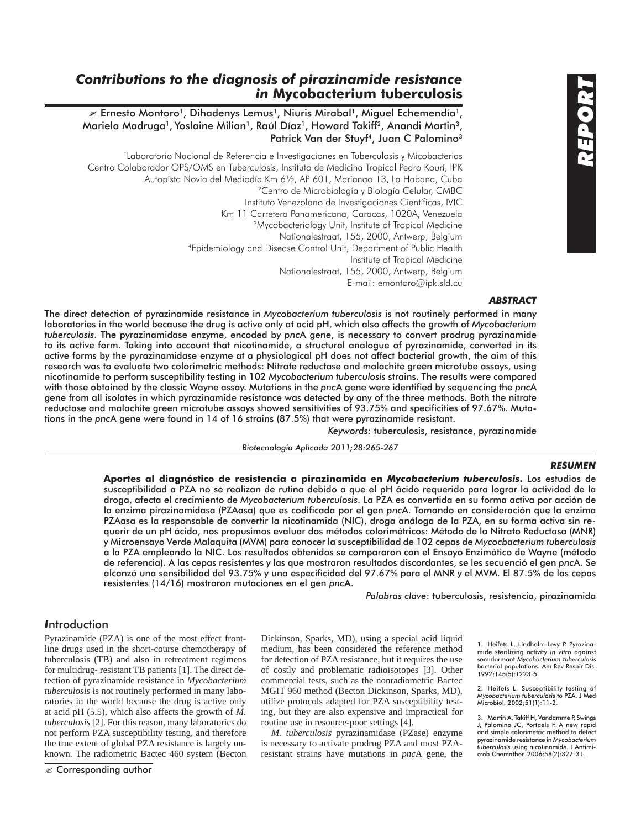# *Contributions to the diagnosis of pirazinamide resistance in* **Mycobacterium tuberculosis**

 $\mathcal{L}$  Ernesto Montoro<sup>1</sup>, Dihadenys Lemus<sup>1</sup>, Niuris Mirabal<sup>1</sup>, Miguel Echemendía<sup>1</sup>, Mariela Madruga<sup>1</sup>, Yoslaine Milian<sup>1</sup>, Raúl Díaz<sup>1</sup>, Howard Takiff<sup>2</sup>, Anandi Martin<sup>3</sup>, Patrick Van der Stuyf<sup>4</sup>, Juan C Palomino<sup>3</sup>

<sup>1</sup>Laboratorio Nacional de Referencia e Investigaciones en Tuberculosis y Micobacterias Centro Colaborador OPS/OMS en Tuberculosis, Instituto de Medicina Tropical Pedro Kourí, IPK Autopista Novia del Mediodía Km 6½, AP 601, Marianao 13, La Habana, Cuba 2Centro de Microbiología y Biología Celular, CMBC Instituto Venezolano de Investigaciones Científicas, IVIC Km 11 Carretera Panamericana, Caracas, 1020A, Venezuela<br><sup>3</sup>Mycobacteriology Unit, Institute of Tropical Medicine Nationalestraat, 155, 2000, Antwerp, Belgium 4Epidemiology and Disease Control Unit, Department of Public Health Institute of Tropical Medicine Nationalestraat, 155, 2000, Antwerp, Belgium E-mail: emontoro@ipk.sld.cu

## *ABSTRACT*

The direct detection of pyrazinamide resistance in *Mycobacterium tuberculosis* is not routinely performed in many laboratories in the world because the drug is active only at acid pH, which also affects the growth of *Mycobacterium tuberculosis*. The pyrazinamidase enzyme, encoded by *pnc*A gene, is necessary to convert prodrug pyrazinamide to its active form. Taking into account that nicotinamide, a structural analogue of pyrazinamide, converted in its active forms by the pyrazinamidase enzyme at a physiological pH does not affect bacterial growth, the aim of this research was to evaluate two colorimetric methods: Nitrate reductase and malachite green microtube assays, using nicotinamide to perform susceptibility testing in 102 *Mycobacterium tuberculosis* strains. The results were compared with those obtained by the classic Wayne assay. Mutations in the *pnc*A gene were identified by sequencing the *pnc*A gene from all isolates in which pyrazinamide resistance was detected by any of the three methods. Both the nitrate reductase and malachite green microtube assays showed sensitivities of 93.75% and specificities of 97.67%. Mutations in the *pnc*A gene were found in 14 of 16 strains (87.5%) that were pyrazinamide resistant.

*Keywords*: tuberculosis, resistance, pyrazinamide

*Biotecnología Aplicada 2011;28:265-267*

### *RESUMEN*

**Aportes al diagnóstico de resistencia a pirazinamida en** *Mycobacterium tuberculosis***.** Los estudios de susceptibilidad a PZA no se realizan de rutina debido a que el pH ácido requerido para lograr la actividad de la droga, afecta el crecimiento de *Mycobacterium tuberculosis*. La PZA es convertida en su forma activa por acción de la enzima pirazinamidasa (PZAasa) que es codificada por el gen *pnc*A. Tomando en consideración que la enzima PZAasa es la responsable de convertir la nicotinamida (NIC), droga análoga de la PZA, en su forma activa sin requerir de un pH ácido, nos propusimos evaluar dos métodos colorimétricos: Método de la Nitrato Reductasa (MNR) y Microensayo Verde Malaquita (MVM) para conocer la susceptibilidad de 102 cepas de *Mycocbacterium tuberculosis* a la PZA empleando la NIC. Los resultados obtenidos se compararon con el Ensayo Enzimático de Wayne (método de referencia). A las cepas resistentes y las que mostraron resultados discordantes, se les secuenció el gen *pnc*A. Se alcanzó una sensibilidad del 93.75% y una especificidad del 97.67% para el MNR y el MVM. El 87.5% de las cepas resistentes (14/16) mostraron mutaciones en el gen *pnc*A.

*Palabras clave*: tuberculosis, resistencia, pirazinamida

## *I*ntroduction

Pyrazinamide (PZA) is one of the most effect frontline drugs used in the short-course chemotherapy of tuberculosis (TB) and also in retreatment regimens for multidrug- resistant TB patients [1]. The direct detection of pyrazinamide resistance in *Mycobacterium tuberculosis* is not routinely performed in many laboratories in the world because the drug is active only at acid pH (5.5), which also affects the growth of *M. tuberculosis* [2]. For this reason, many laboratories do not perform PZA susceptibility testing, and therefore the true extent of global PZA resistance is largely unknown. The radiometric Bactec 460 system (Becton Dickinson, Sparks, MD), using a special acid liquid medium, has been considered the reference method for detection of PZA resistance, but it requires the use of costly and problematic radioisotopes [3]. Other commercial tests, such as the nonradiometric Bactec MGIT 960 method (Becton Dickinson, Sparks, MD), utilize protocols adapted for PZA susceptibility testing, but they are also expensive and impractical for routine use in resource-poor settings [4].

*M. tuberculosis* pyrazinamidase (PZase) enzyme is necessary to activate prodrug PZA and most PZAresistant strains have mutations in *pnc*A gene, the

1. Heifets L, Lindholm-Levy P. Pyrazinamide sterilizing activity *in vitro* against semidormant *Mycobacterium tuberculosis*  bacterial populations. Am Rev Respir Dis. 1992;145(5):1223-5.

2. Heifets L. Susceptibility testing of *Mycobacterium tuberculosis* to PZA. J Med Microbiol. 2002;51(1):11-2.

3. Martin A, Takiff H, Vandamme P, Swings J, Palomino JC, Portaels F. A new rapid and simple colorimetric method to detect pyrazinamide resistance in *Mycobacterium tuberculosis* using nicotinamide. J Antimicrob Chemother. 2006;58(2):327-31.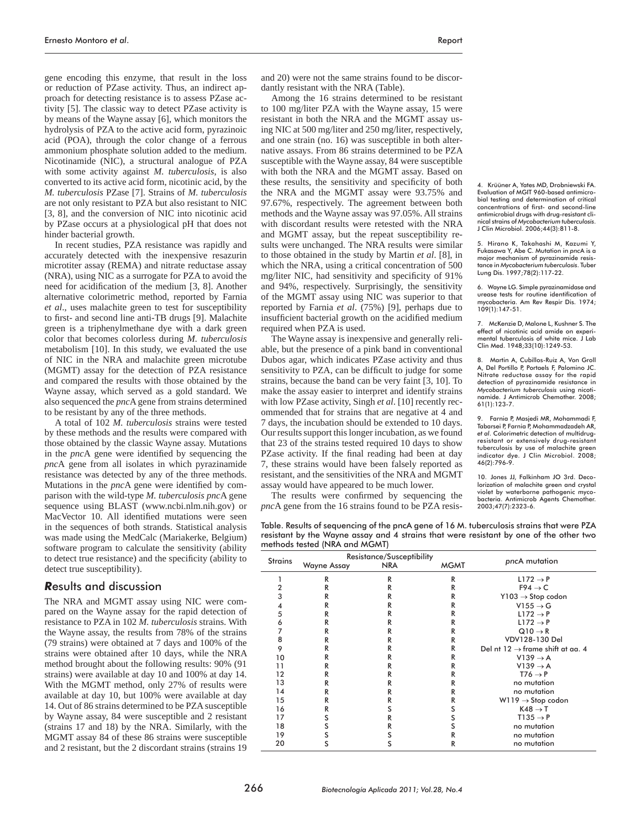gene encoding this enzyme, that result in the loss or reduction of PZase activity. Thus, an indirect approach for detecting resistance is to assess PZase activity [5]. The classic way to detect PZase activity is by means of the Wayne assay [6], which monitors the hydrolysis of PZA to the active acid form, pyrazinoic acid (POA), through the color change of a ferrous ammonium phosphate solution added to the medium. Nicotinamide (NIC), a structural analogue of PZA with some activity against *M. tuberculosis*, is also converted to its active acid form, nicotinic acid, by the *M. tuberculosis* PZase [7]. Strains of *M. tuberculosis* are not only resistant to PZA but also resistant to NIC [3, 8], and the conversion of NIC into nicotinic acid by PZase occurs at a physiological pH that does not hinder bacterial growth.

In recent studies, PZA resistance was rapidly and accurately detected with the inexpensive resazurin microtiter assay (REMA) and nitrate reductase assay (NRA), using NIC as a surrogate for PZA to avoid the need for acidification of the medium [3, 8]. Another alternative colorimetric method, reported by Farnia *et al*., uses malachite green to test for susceptibility to first- and second line anti-TB drugs [9]. Malachite green is a triphenylmethane dye with a dark green color that becomes colorless during *M. tuberculosis* metabolism [10]. In this study, we evaluated the use of NIC in the NRA and malachite green microtube (MGMT) assay for the detection of PZA resistance and compared the results with those obtained by the Wayne assay, which served as a gold standard. We also sequenced the *pnc*A gene from strains determined to be resistant by any of the three methods.

A total of 102 *M. tuberculosis* strains were tested by these methods and the results were compared with those obtained by the classic Wayne assay. Mutations in the *pnc*A gene were identified by sequencing the *pnc*A gene from all isolates in which pyrazinamide resistance was detected by any of the three methods. Mutations in the *pncA* gene were identified by comparison with the wild-type *M. tuberculosis pnc*A gene sequence using BLAST (www.ncbi.nlm.nih.gov) or MacVector 10. All identified mutations were seen in the sequences of both strands. Statistical analysis was made using the MedCalc (Mariakerke, Belgium) software program to calculate the sensitivity (ability to detect true resistance) and the specificity (ability to detect true susceptibility).

#### *R*esults and discussion

The NRA and MGMT assay using NIC were compared on the Wayne assay for the rapid detection of resistance to PZA in 102 *M. tuberculosis* strains. With the Wayne assay, the results from 78% of the strains (79 strains) were obtained at 7 days and 100% of the strains were obtained after 10 days, while the NRA method brought about the following results: 90% (91 strains) were available at day 10 and 100% at day 14. With the MGMT method, only 27% of results were available at day 10, but 100% were available at day 14. Out of 86 strains determined to be PZA susceptible by Wayne assay, 84 were susceptible and 2 resistant (strains 17 and 18) by the NRA. Similarly, with the MGMT assay 84 of these 86 strains were susceptible and 2 resistant, but the 2 discordant strains (strains 19 and 20) were not the same strains found to be discordantly resistant with the NRA (Table).

Among the 16 strains determined to be resistant to 100 mg/liter PZA with the Wayne assay, 15 were resistant in both the NRA and the MGMT assay using NIC at 500 mg/liter and 250 mg/liter, respectively, and one strain (no. 16) was susceptible in both alternative assays. From 86 strains determined to be PZA susceptible with the Wayne assay, 84 were susceptible with both the NRA and the MGMT assay. Based on these results, the sensitivity and specificity of both the NRA and the MGMT assay were 93.75% and 97.67%, respectively. The agreement between both methods and the Wayne assay was 97.05%. All strains with discordant results were retested with the NRA and MGMT assay, but the repeat susceptibility results were unchanged. The NRA results were similar to those obtained in the study by Martin *et al*. [8], in which the NRA, using a critical concentration of 500 mg/liter NIC, had sensitivity and specificity of 91% and 94%, respectively. Surprisingly, the sensitivity of the MGMT assay using NIC was superior to that reported by Farnia *et al*. (75%) [9], perhaps due to insufficient bacterial growth on the acidified medium required when PZA is used.

The Wayne assay is inexpensive and generally reliable, but the presence of a pink band in conventional Dubos agar, which indicates PZase activity and thus sensitivity to PZA, can be difficult to judge for some strains, because the band can be very faint [3, 10]. To make the assay easier to interpret and identify strains with low PZase activity, Singh *et al*. [10] recently recommended that for strains that are negative at 4 and 7 days, the incubation should be extended to 10 days. Our results support this longer incubation, as we found that 23 of the strains tested required 10 days to show PZase activity. If the final reading had been at day 7, these strains would have been falsely reported as resistant, and the sensitivities of the NRA and MGMT assay would have appeared to be much lower.

The results were confirmed by sequencing the *pnc*A gene from the 16 strains found to be PZA resis-

Table. Results of sequencing of the pncA gene of 16 M. tuberculosis strains that were PZA resistant by the Wayne assay and 4 strains that were resistant by one of the other two methods tested (NRA and MGMT)

| <b>Strains</b> | Resistance/Susceptibility |            |             |                                              |
|----------------|---------------------------|------------|-------------|----------------------------------------------|
|                | Wayne Assay               | <b>NRA</b> | <b>MGMT</b> | pncA mutation                                |
|                | R                         | R          | R           | $L172 \rightarrow P$                         |
| 2              | R                         | R          | R           | $F94 \rightarrow C$                          |
| 3              | R                         | R          | R           | $Y103 \rightarrow$ Stop codon                |
| 4              | R                         | R          | R           | $V155 \rightarrow G$                         |
| 5              | R                         | R          | R           | $L172 \rightarrow P$                         |
| 6              | R                         | R          | R           | $L172 \rightarrow P$                         |
| 7              | R                         | R          | R           | $Q10 \rightarrow R$                          |
| 8              | R                         | R          | R           | VDV128-130 Del                               |
| 9              | R                         | R          | R           | Del nt $12 \rightarrow$ frame shift at aa. 4 |
| 10             | R                         | R          | R           | $V139 \rightarrow A$                         |
| 11             | R                         | R          | R           | $V139 \rightarrow A$                         |
| 12             | R                         | R          | R           | $T76 \rightarrow P$                          |
| 13             | R                         | R          | R           | no mutation                                  |
| 14             | R                         | R          | R           | no mutation                                  |
| 15             | R                         | R          | R           | $W119 \rightarrow$ Stop codon                |
| 16             | R                         | s          | s           | $K48 \rightarrow T$                          |
| 17             | S                         | R          | S           | $T135 \rightarrow P$                         |
| 18             | S                         | R          | S           | no mutation                                  |
| 19             | S                         | s          | R           | no mutation                                  |
| 20             | S                         | S          | R           | no mutation                                  |

4. Krüüner A, Yates MD, Drobniewski FA. Evaluation of MGIT 960-based antimicrobial testing and determination of critical concentrations of first- and second-line antimicrobial drugs with drug-resistant cli-nical strains of *Mycobacterium tuberculosis*. J Clin Microbiol. 2006;44(3):811-8.

5. Hirano K, Takahashi M, Kazumi Y, Fukasawa Y, Abe C. Mutation in *pnc*A is a major mechanism of pyrazinamide resistance in *Mycobacterium tuberculosis*. Tuber Lung Dis. 1997;78(2):117-22.

6. Wayne LG. Simple pyrazinamidase and urease tests for routine identification of mycobacteria. Am Rev Respir Dis. 1974; 109(1):147-51.

7. McKenzie D, Malone L, Kushner S. The effect of nicotinic acid amide on experimental tuberculosis of white mice. J Lab Clin Med. 1948;33(10):1249-53.

8. Martin A, Cubillos-Ruiz A, Von Groll A, Del Portillo P, Portaels F, Palomino JC. Nitrate reductase assay for the rapid detection of pyrazinamide resistance in *Mycobacterium tuberculosis* using nicotinamide. J Antimicrob Chemother. 2008; 61(1):123-7.

9. Farnia P, Masjedi MR, Mohammadi F, Tabarsei P, Farnia P, Mohammadzadeh AR, *et al*. Colorimetric detection of multidrugresistant or extensively drug-resistant tuberculosis by use of malachite green indicator dye. J Clin Microbiol. 2008; 46(2):796-9.

10. Jones JJ, Falkinham JO 3rd. Decolorization of malachite green and crystal violet by waterborne pathogenic mycobacteria. Antimicrob Agents Chemother. 2003;47(7):2323-6.